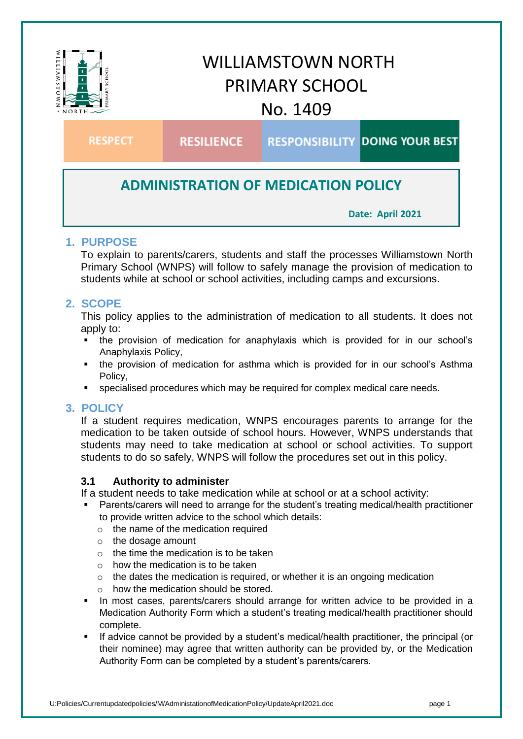

# **ADMINISTRATION OF MEDICATION POLICY**

**Date: April 2021**

## **1. PURPOSE**

To explain to parents/carers, students and staff the processes Williamstown North Primary School (WNPS) will follow to safely manage the provision of medication to students while at school or school activities, including camps and excursions.

## **2. SCOPE**

This policy applies to the administration of medication to all students. It does not apply to:

- the provision of medication for anaphylaxis which is provided for in our school's Anaphylaxis Policy,
- the provision of medication for asthma which is provided for in our school's Asthma Policy,
- specialised procedures which may be required for complex medical care needs.

## **3. POLICY**

If a student requires medication, WNPS encourages parents to arrange for the medication to be taken outside of school hours. However, WNPS understands that students may need to take medication at school or school activities. To support students to do so safely, WNPS will follow the procedures set out in this policy.

#### **3.1 Authority to administer**

If a student needs to take medication while at school or at a school activity:

- Parents/carers will need to arrange for the student's treating medical/health practitioner to provide written advice to the school which details:
	- o the name of the medication required
	- o the dosage amount
	- $\circ$  the time the medication is to be taken
	- $\circ$  how the medication is to be taken
	- $\circ$  the dates the medication is required, or whether it is an ongoing medication
	- $\circ$  how the medication should be stored.
- In most cases, parents/carers should arrange for written advice to be provided in a Medication Authority Form which a student's treating medical/health practitioner should complete.
- **If advice cannot be provided by a student's medical/health practitioner, the principal (or** their nominee) may agree that written authority can be provided by, or the Medication Authority Form can be completed by a student's parents/carers.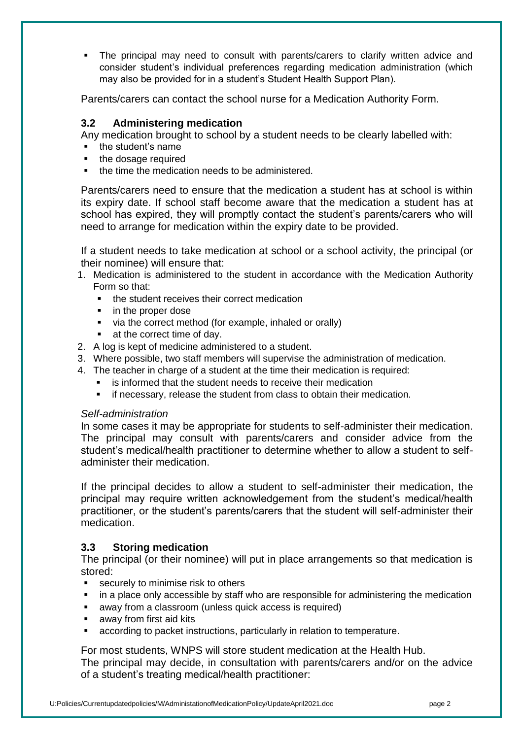The principal may need to consult with parents/carers to clarify written advice and consider student's individual preferences regarding medication administration (which may also be provided for in a student's Student Health Support Plan).

Parents/carers can contact the school nurse for a Medication Authority Form.

#### **3.2 Administering medication**

Any medication brought to school by a student needs to be clearly labelled with:

- the student's name
- the dosage required
- the time the medication needs to be administered.

Parents/carers need to ensure that the medication a student has at school is within its expiry date. If school staff become aware that the medication a student has at school has expired, they will promptly contact the student's parents/carers who will need to arrange for medication within the expiry date to be provided.

If a student needs to take medication at school or a school activity, the principal (or their nominee) will ensure that:

- 1. Medication is administered to the student in accordance with the Medication Authority Form so that:
	- **the student receives their correct medication**
	- in the proper dose
	- via the correct method (for example, inhaled or orally)
	- **at the correct time of day.**
- 2. A log is kept of medicine administered to a student.
- 3. Where possible, two staff members will supervise the administration of medication.
- 4. The teacher in charge of a student at the time their medication is required:
	- is informed that the student needs to receive their medication
	- if necessary, release the student from class to obtain their medication.

#### *Self-administration*

In some cases it may be appropriate for students to self-administer their medication. The principal may consult with parents/carers and consider advice from the student's medical/health practitioner to determine whether to allow a student to selfadminister their medication.

If the principal decides to allow a student to self-administer their medication, the principal may require written acknowledgement from the student's medical/health practitioner, or the student's parents/carers that the student will self-administer their medication.

## **3.3 Storing medication**

The principal (or their nominee) will put in place arrangements so that medication is stored:

- **EXECUTELY THE INCOCO EXECUTE:** Securely to minimise risk to others
- in a place only accessible by staff who are responsible for administering the medication
- away from a classroom (unless quick access is required)
- **a** away from first aid kits
- according to packet instructions, particularly in relation to temperature.

For most students, WNPS will store student medication at the Health Hub.

The principal may decide, in consultation with parents/carers and/or on the advice of a student's treating medical/health practitioner: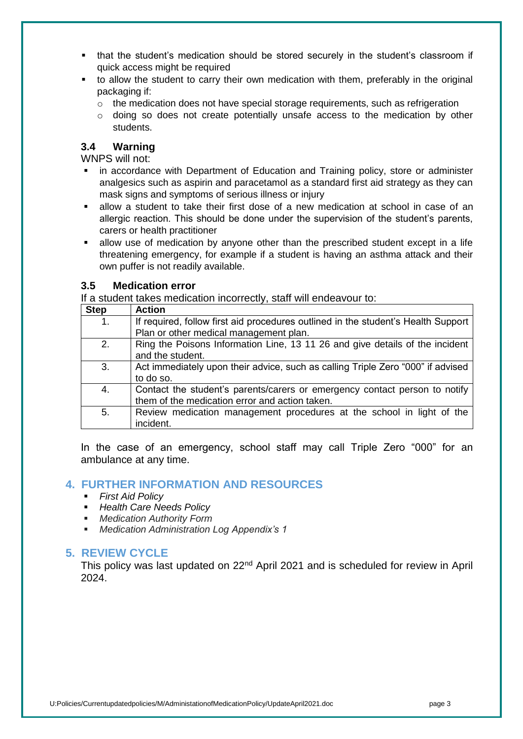- that the student's medication should be stored securely in the student's classroom if quick access might be required
- to allow the student to carry their own medication with them, preferably in the original packaging if:
	- $\circ$  the medication does not have special storage requirements, such as refrigeration
	- $\circ$  doing so does not create potentially unsafe access to the medication by other students.

#### **3.4 Warning**

WNPS will not:

- in accordance with Department of Education and Training policy, store or administer analgesics such as aspirin and paracetamol as a standard first aid strategy as they can mask signs and symptoms of serious illness or injury
- allow a student to take their first dose of a new medication at school in case of an allergic reaction. This should be done under the supervision of the student's parents, carers or health practitioner
- allow use of medication by anyone other than the prescribed student except in a life threatening emergency, for example if a student is having an asthma attack and their own puffer is not readily available.

#### **3.5 Medication error**

If a student takes medication incorrectly, staff will endeavour to:

| <b>Step</b> | <b>Action</b>                                                                                                                |
|-------------|------------------------------------------------------------------------------------------------------------------------------|
| 1.          | If required, follow first aid procedures outlined in the student's Health Support<br>Plan or other medical management plan.  |
| 2.          | Ring the Poisons Information Line, 13 11 26 and give details of the incident<br>and the student.                             |
| 3.          | Act immediately upon their advice, such as calling Triple Zero "000" if advised<br>to do so.                                 |
| 4.          | Contact the student's parents/carers or emergency contact person to notify<br>them of the medication error and action taken. |
| 5.          | Review medication management procedures at the school in light of the<br>incident.                                           |

In the case of an emergency, school staff may call Triple Zero "000" for an ambulance at any time.

#### **4. FURTHER INFORMATION AND RESOURCES**

- *First Aid Policy*
- *Health Care Needs Policy*
- *Medication Authority Form*
- *Medication Administration Log Appendix's 1*

#### **5. REVIEW CYCLE**

This policy was last updated on 22nd April 2021 and is scheduled for review in April 2024.